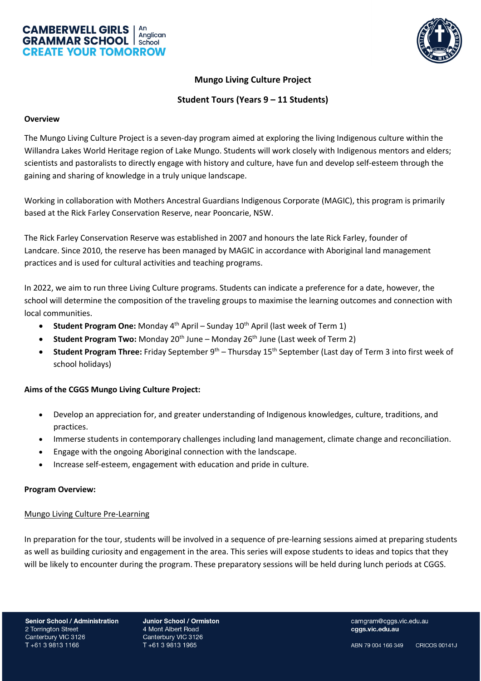



# **Mungo Living Culture Project**

## **Student Tours (Years 9 – 11 Students)**

#### **Overview**

The Mungo Living Culture Project is a seven-day program aimed at exploring the living Indigenous culture within the Willandra Lakes World Heritage region of Lake Mungo. Students will work closely with Indigenous mentors and elders; scientists and pastoralists to directly engage with history and culture, have fun and develop self-esteem through the gaining and sharing of knowledge in a truly unique landscape.

Working in collaboration with Mothers Ancestral Guardians Indigenous Corporate (MAGIC), this program is primarily based at the Rick Farley Conservation Reserve, near Pooncarie, NSW.

The Rick Farley Conservation Reserve was established in 2007 and honours the late Rick Farley, founder of Landcare. Since 2010, the reserve has been managed by MAGIC in accordance with Aboriginal land management practices and is used for cultural activities and teaching programs.

In 2022, we aim to run three Living Culture programs. Students can indicate a preference for a date, however, the school will determine the composition of the traveling groups to maximise the learning outcomes and connection with local communities.

- **Student Program One:** Monday 4<sup>th</sup> April Sunday 10<sup>th</sup> April (last week of Term 1)
- **Student Program Two:** Monday 20<sup>th</sup> June Monday 26<sup>th</sup> June (Last week of Term 2)
- **Student Program Three:** Friday September 9th Thursday 15th September (Last day of Term 3 into first week of school holidays)

## **Aims of the CGGS Mungo Living Culture Project:**

- Develop an appreciation for, and greater understanding of Indigenous knowledges, culture, traditions, and practices.
- Immerse students in contemporary challenges including land management, climate change and reconciliation.
- Engage with the ongoing Aboriginal connection with the landscape.
- Increase self-esteem, engagement with education and pride in culture.

#### **Program Overview:**

#### Mungo Living Culture Pre-Learning

In preparation for the tour, students will be involved in a sequence of pre-learning sessions aimed at preparing students as well as building curiosity and engagement in the area. This series will expose students to ideas and topics that they will be likely to encounter during the program. These preparatory sessions will be held during lunch periods at CGGS.

Junior School / Ormiston 4 Mont Albert Road Canterbury VIC 3126 T+61 3 9813 1965

camgram@cggs.vic.edu.au cggs.vic.edu.au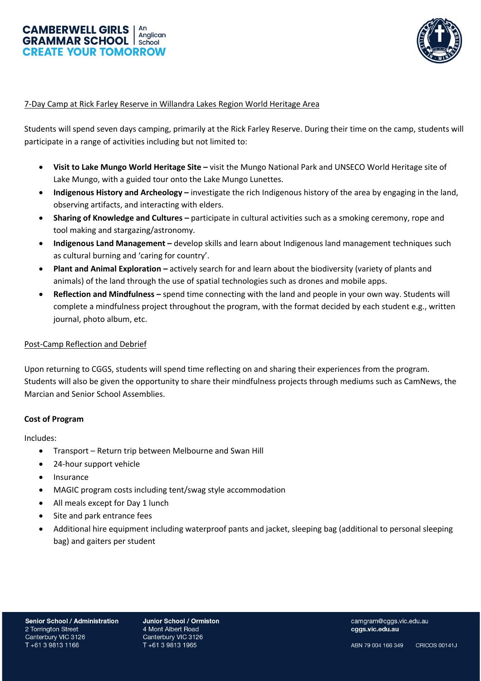



### 7-Day Camp at Rick Farley Reserve in Willandra Lakes Region World Heritage Area

Students will spend seven days camping, primarily at the Rick Farley Reserve. During their time on the camp, students will participate in a range of activities including but not limited to:

- **Visit to Lake Mungo World Heritage Site –** visit the Mungo National Park and UNSECO World Heritage site of Lake Mungo, with a guided tour onto the Lake Mungo Lunettes.
- **Indigenous History and Archeology –** investigate the rich Indigenous history of the area by engaging in the land, observing artifacts, and interacting with elders.
- **Sharing of Knowledge and Cultures –** participate in cultural activities such as a smoking ceremony, rope and tool making and stargazing/astronomy.
- **Indigenous Land Management –** develop skills and learn about Indigenous land management techniques such as cultural burning and 'caring for country'.
- **Plant and Animal Exploration –** actively search for and learn about the biodiversity (variety of plants and animals) of the land through the use of spatial technologies such as drones and mobile apps.
- **Reflection and Mindfulness –** spend time connecting with the land and people in your own way. Students will complete a mindfulness project throughout the program, with the format decided by each student e.g., written journal, photo album, etc.

#### Post-Camp Reflection and Debrief

Upon returning to CGGS, students will spend time reflecting on and sharing their experiences from the program. Students will also be given the opportunity to share their mindfulness projects through mediums such as CamNews, the Marcian and Senior School Assemblies.

#### **Cost of Program**

Includes:

- Transport Return trip between Melbourne and Swan Hill
- 24-hour support vehicle
- **Insurance**
- MAGIC program costs including tent/swag style accommodation
- All meals except for Day 1 lunch
- Site and park entrance fees
- Additional hire equipment including waterproof pants and jacket, sleeping bag (additional to personal sleeping bag) and gaiters per student

Junior School / Ormiston 4 Mont Albert Road Canterbury VIC 3126 T+61 3 9813 1965

camgram@cggs.vic.edu.au cggs.vic.edu.au